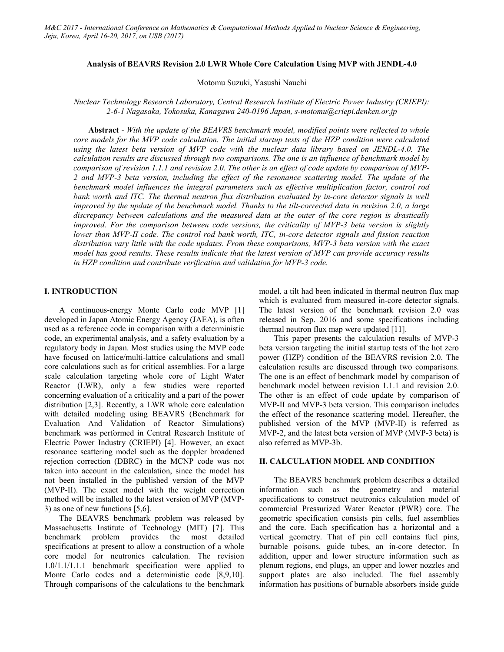### **Analysis of BEAVRS Revision 2.0 LWR Whole Core Calculation Using MVP with JENDL-4.0**

Motomu Suzuki, Yasushi Nauchi

*Nuclear Technology Research Laboratory, Central Research Institute of Electric Power Industry (CRIEPI): 2-6-1 Nagasaka, Yokosuka, Kanagawa 240-0196 Japan, s-motomu@criepi.denken.or.jp*

**Abstract** *- With the update of the BEAVRS benchmark model, modified points were reflected to whole core models for the MVP code calculation. The initial startup tests of the HZP condition were calculated using the latest beta version of MVP code with the nuclear data library based on JENDL-4.0. The calculation results are discussed through two comparisons. The one is an influence of benchmark model by comparison of revision 1.1.1 and revision 2.0. The other is an effect of code update by comparison of MVP-2 and MVP-3 beta version, including the effect of the resonance scattering model. The update of the benchmark model influences the integral parameters such as effective multiplication factor, control rod*  bank worth and ITC. The thermal neutron flux distribution evaluated by in-core detector signals is well *improved by the update of the benchmark model. Thanks to the tilt-corrected data in revision 2.0, a large discrepancy between calculations and the measured data at the outer of the core region is drastically improved. For the comparison between code versions, the criticality of MVP-3 beta version is slightly lower than MVP-II code. The control rod bank worth, ITC, in-core detector signals and fission reaction distribution vary little with the code updates. From these comparisons, MVP-3 beta version with the exact model has good results. These results indicate that the latest version of MVP can provide accuracy results in HZP condition and contribute verification and validation for MVP-3 code.*

### **I. INTRODUCTION**

A continuous-energy Monte Carlo code MVP [1] developed in Japan Atomic Energy Agency (JAEA), is often used as a reference code in comparison with a deterministic code, an experimental analysis, and a safety evaluation by a regulatory body in Japan. Most studies using the MVP code have focused on lattice/multi-lattice calculations and small core calculations such as for critical assemblies. For a large scale calculation targeting whole core of Light Water Reactor (LWR), only a few studies were reported concerning evaluation of a criticality and a part of the power distribution [2,3]. Recently, a LWR whole core calculation with detailed modeling using BEAVRS (Benchmark for Evaluation And Validation of Reactor Simulations) benchmark was performed in Central Research Institute of Electric Power Industry (CRIEPI) [4]. However, an exact resonance scattering model such as the doppler broadened rejection correction (DBRC) in the MCNP code was not taken into account in the calculation, since the model has not been installed in the published version of the MVP (MVP-II). The exact model with the weight correction method will be installed to the latest version of MVP (MVP-3) as one of new functions [5,6].

The BEAVRS benchmark problem was released by Massachusetts Institute of Technology (MIT) [7]. This benchmark problem provides the most detailed specifications at present to allow a construction of a whole core model for neutronics calculation. The revision 1.0/1.1/1.1.1 benchmark specification were applied to Monte Carlo codes and a deterministic code [8,9,10]. Through comparisons of the calculations to the benchmark model, a tilt had been indicated in thermal neutron flux map which is evaluated from measured in-core detector signals. The latest version of the benchmark revision 2.0 was released in Sep. 2016 and some specifications including thermal neutron flux map were updated [11].

This paper presents the calculation results of MVP-3 beta version targeting the initial startup tests of the hot zero power (HZP) condition of the BEAVRS revision 2.0. The calculation results are discussed through two comparisons. The one is an effect of benchmark model by comparison of benchmark model between revision 1.1.1 and revision 2.0. The other is an effect of code update by comparison of MVP-II and MVP-3 beta version. This comparison includes the effect of the resonance scattering model. Hereafter, the published version of the MVP (MVP-II) is referred as MVP-2, and the latest beta version of MVP (MVP-3 beta) is also referred as MVP-3b.

# **II. CALCULATION MODEL AND CONDITION**

The BEAVRS benchmark problem describes a detailed information such as the geometry and material specifications to construct neutronics calculation model of commercial Pressurized Water Reactor (PWR) core. The geometric specification consists pin cells, fuel assemblies and the core. Each specification has a horizontal and a vertical geometry. That of pin cell contains fuel pins, burnable poisons, guide tubes, an in-core detector. In addition, upper and lower structure information such as plenum regions, end plugs, an upper and lower nozzles and support plates are also included. The fuel assembly information has positions of burnable absorbers inside guide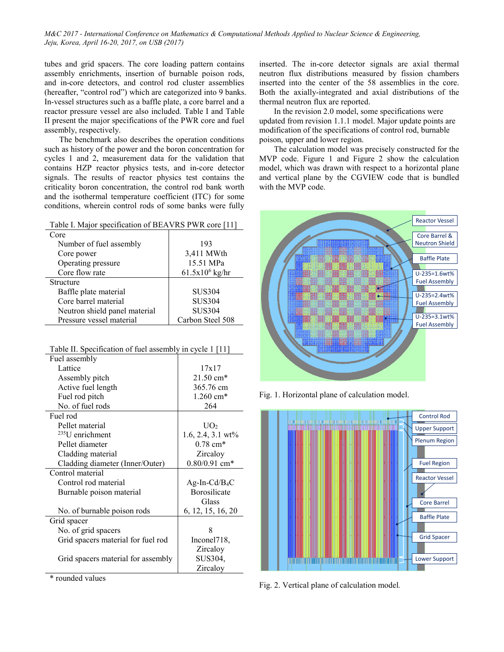tubes and grid spacers. The core loading pattern contains assembly enrichments, insertion of burnable poison rods, and in-core detectors, and control rod cluster assemblies (hereafter, "control rod") which are categorized into 9 banks. In-vessel structures such as a baffle plate, a core barrel and a reactor pressure vessel are also included. Table I and Table II present the major specifications of the PWR core and fuel assembly, respectively.

The benchmark also describes the operation conditions such as history of the power and the boron concentration for cycles 1 and 2, measurement data for the validation that contains HZP reactor physics tests, and in-core detector signals. The results of reactor physics test contains the criticality boron concentration, the control rod bank worth and the isothermal temperature coefficient (ITC) for some conditions, wherein control rods of some banks were fully

| Table I. Major specification of BEAVRS PWR core [11] |                   |  |  |  |  |  |
|------------------------------------------------------|-------------------|--|--|--|--|--|
| Core                                                 |                   |  |  |  |  |  |
| Number of fuel assembly                              | 193               |  |  |  |  |  |
| Core power                                           | 3,411 MWth        |  |  |  |  |  |
| Operating pressure                                   | 15.51 MPa         |  |  |  |  |  |
| Core flow rate                                       | $61.5x10^6$ kg/hr |  |  |  |  |  |
| Structure                                            |                   |  |  |  |  |  |
| Baffle plate material                                | <b>SUS304</b>     |  |  |  |  |  |
| Core barrel material                                 | <b>SUS304</b>     |  |  |  |  |  |
| Neutron shield panel material                        | <b>SUS304</b>     |  |  |  |  |  |
| Pressure vessel material                             | Carbon Steel 508  |  |  |  |  |  |
|                                                      |                   |  |  |  |  |  |

| Table II. Specification of fuel assembly in cycle 1 [11] |  |  |
|----------------------------------------------------------|--|--|
|                                                          |  |  |

| Fuel assembly                      |                          |
|------------------------------------|--------------------------|
| Lattice                            | 17x17                    |
| Assembly pitch                     | $21.50 \text{ cm}^*$     |
| Active fuel length                 | 365.76 cm                |
| Fuel rod pitch                     | 1.260 cm*                |
| No. of fuel rods                   | 264                      |
| Fuel rod                           |                          |
| Pellet material                    | UO <sub>2</sub>          |
| $235$ U enrichment                 | 1.6, 2.4, 3.1 $wt\%$     |
| Pellet diameter                    | $0.78$ cm <sup>*</sup>   |
| Cladding material                  | Zircaloy                 |
| Cladding diameter (Inner/Outer)    | $0.80/0.91$ cm*          |
| Control material                   |                          |
| Control rod material               | $Ag-In-Cd/B4C$           |
| Burnable poison material           | Borosilicate             |
|                                    | Glass                    |
| No. of burnable poison rods        | 6, 12, 15, 16, 20        |
| Grid spacer                        |                          |
| No. of grid spacers                | 8                        |
| Grid spacers material for fuel rod | Inconel <sub>718</sub> , |
|                                    | Zircaloy                 |
| Grid spacers material for assembly | SUS304,                  |
|                                    | Zircaloy                 |

\* rounded values

inserted. The in-core detector signals are axial thermal neutron flux distributions measured by fission chambers inserted into the center of the 58 assemblies in the core. Both the axially-integrated and axial distributions of the thermal neutron flux are reported.

In the revision 2.0 model, some specifications were updated from revision 1.1.1 model. Major update points are modification of the specifications of control rod, burnable poison, upper and lower region.

The calculation model was precisely constructed for the MVP code. Figure 1 and Figure 2 show the calculation model, which was drawn with respect to a horizontal plane and vertical plane by the CGVIEW code that is bundled with the MVP code.



Fig. 1. Horizontal plane of calculation model.



Fig. 2. Vertical plane of calculation model*.*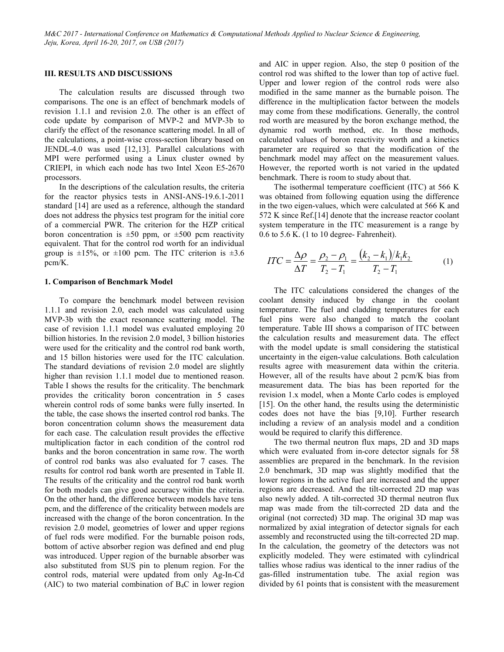### **III. RESULTS AND DISCUSSIONS**

The calculation results are discussed through two comparisons. The one is an effect of benchmark models of revision 1.1.1 and revision 2.0. The other is an effect of code update by comparison of MVP-2 and MVP-3b to clarify the effect of the resonance scattering model. In all of the calculations, a point-wise cross-section library based on JENDL-4.0 was used [12,13]. Parallel calculations with MPI were performed using a Linux cluster owned by CRIEPI, in which each node has two Intel Xeon E5-2670 processors.

In the descriptions of the calculation results, the criteria for the reactor physics tests in ANSI-ANS-19.6.1-2011 standard [14] are used as a reference, although the standard does not address the physics test program for the initial core of a commercial PWR. The criterion for the HZP critical boron concentration is  $\pm 50$  ppm, or  $\pm 500$  pcm reactivity equivalent. That for the control rod worth for an individual group is  $\pm 15\%$ , or  $\pm 100$  pcm. The ITC criterion is  $\pm 3.6$ pcm/K.

#### **1. Comparison of Benchmark Model**

To compare the benchmark model between revision 1.1.1 and revision 2.0, each model was calculated using MVP-3b with the exact resonance scattering model. The case of revision 1.1.1 model was evaluated employing 20 billion histories. In the revision 2.0 model, 3 billion histories were used for the criticality and the control rod bank worth, and 15 billon histories were used for the ITC calculation. The standard deviations of revision 2.0 model are slightly higher than revision 1.1.1 model due to mentioned reason. Table I shows the results for the criticality. The benchmark provides the criticality boron concentration in 5 cases wherein control rods of some banks were fully inserted. In the table, the case shows the inserted control rod banks. The boron concentration column shows the measurement data for each case. The calculation result provides the effective multiplication factor in each condition of the control rod banks and the boron concentration in same row. The worth of control rod banks was also evaluated for 7 cases. The results for control rod bank worth are presented in Table II. The results of the criticality and the control rod bank worth for both models can give good accuracy within the criteria. On the other hand, the difference between models have tens pcm, and the difference of the criticality between models are increased with the change of the boron concentration. In the revision 2.0 model, geometries of lower and upper regions of fuel rods were modified. For the burnable poison rods, bottom of active absorber region was defined and end plug was introduced. Upper region of the burnable absorber was also substituted from SUS pin to plenum region. For the control rods, material were updated from only Ag-In-Cd (AIC) to two material combination of  $B_4C$  in lower region and AIC in upper region. Also, the step 0 position of the control rod was shifted to the lower than top of active fuel. Upper and lower region of the control rods were also modified in the same manner as the burnable poison. The difference in the multiplication factor between the models may come from these modifications. Generally, the control rod worth are measured by the boron exchange method, the dynamic rod worth method, etc. In those methods, calculated values of boron reactivity worth and a kinetics parameter are required so that the modification of the benchmark model may affect on the measurement values. However, the reported worth is not varied in the updated benchmark. There is room to study about that.

The isothermal temperature coefficient (ITC) at 566 K was obtained from following equation using the difference in the two eigen-values, which were calculated at 566 K and 572 K since Ref.[14] denote that the increase reactor coolant system temperature in the ITC measurement is a range by 0.6 to 5.6 K. (1 to 10 degree- Fahrenheit).

$$
ITC = \frac{\Delta \rho}{\Delta T} = \frac{\rho_2 - \rho_1}{T_2 - T_1} = \frac{(k_2 - k_1)/k_1 k_2}{T_2 - T_1}
$$
(1)

The ITC calculations considered the changes of the coolant density induced by change in the coolant temperature. The fuel and cladding temperatures for each fuel pins were also changed to match the coolant temperature. Table III shows a comparison of ITC between the calculation results and measurement data. The effect with the model update is small considering the statistical uncertainty in the eigen-value calculations. Both calculation results agree with measurement data within the criteria. However, all of the results have about 2 pcm/K bias from measurement data. The bias has been reported for the revision 1.x model, when a Monte Carlo codes is employed [15]. On the other hand, the results using the deterministic codes does not have the bias [9,10]. Further research including a review of an analysis model and a condition would be required to clarify this difference.

The two thermal neutron flux maps, 2D and 3D maps which were evaluated from in-core detector signals for 58 assemblies are prepared in the benchmark. In the revision 2.0 benchmark, 3D map was slightly modified that the lower regions in the active fuel are increased and the upper regions are decreased. And the tilt-corrected 2D map was also newly added. A tilt-corrected 3D thermal neutron flux map was made from the tilt-corrected 2D data and the original (not corrected) 3D map. The original 3D map was normalized by axial integration of detector signals for each assembly and reconstructed using the tilt-corrected 2D map. In the calculation, the geometry of the detectors was not explicitly modeled. They were estimated with cylindrical tallies whose radius was identical to the inner radius of the gas-filled instrumentation tube. The axial region was divided by 61 points that is consistent with the measurement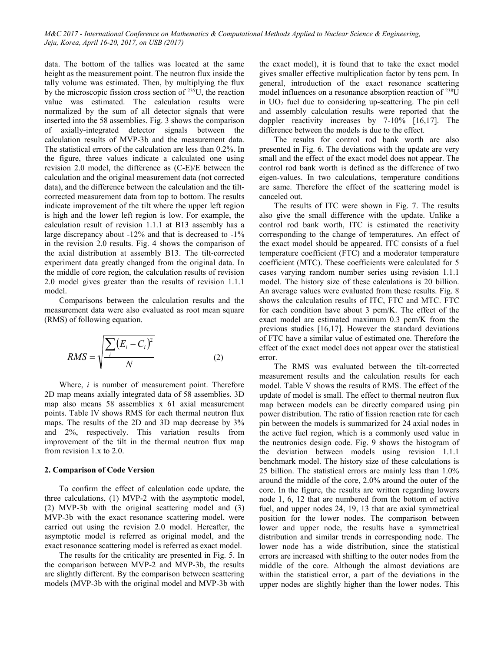data. The bottom of the tallies was located at the same height as the measurement point. The neutron flux inside the tally volume was estimated. Then, by multiplying the flux by the microscopic fission cross section of 235U, the reaction value was estimated. The calculation results were normalized by the sum of all detector signals that were inserted into the 58 assemblies. Fig. 3 shows the comparison of axially-integrated detector signals between the calculation results of MVP-3b and the measurement data. The statistical errors of the calculation are less than 0.2%. In the figure, three values indicate a calculated one using revision 2.0 model, the difference as (C-E)/E between the calculation and the original measurement data (not corrected data), and the difference between the calculation and the tiltcorrected measurement data from top to bottom. The results indicate improvement of the tilt where the upper left region is high and the lower left region is low. For example, the calculation result of revision 1.1.1 at B13 assembly has a large discrepancy about -12% and that is decreased to -1% in the revision 2.0 results. Fig. 4 shows the comparison of the axial distribution at assembly B13. The tilt-corrected experiment data greatly changed from the original data. In the middle of core region, the calculation results of revision 2.0 model gives greater than the results of revision 1.1.1 model.

Comparisons between the calculation results and the measurement data were also evaluated as root mean square (RMS) of following equation.

$$
RMS = \sqrt{\frac{\sum_{i} (E_i - C_i)^2}{N}}
$$
 (2)

Where, *i* is number of measurement point. Therefore 2D map means axially integrated data of 58 assemblies. 3D map also means 58 assemblies x 61 axial measurement points. Table IV shows RMS for each thermal neutron flux maps. The results of the 2D and 3D map decrease by 3% and 2%, respectively. This variation results from improvement of the tilt in the thermal neutron flux map from revision 1.x to 2.0.

### **2. Comparison of Code Version**

To confirm the effect of calculation code update, the three calculations, (1) MVP-2 with the asymptotic model, (2) MVP-3b with the original scattering model and (3) MVP-3b with the exact resonance scattering model, were carried out using the revision 2.0 model. Hereafter, the asymptotic model is referred as original model, and the exact resonance scattering model is referred as exact model.

The results for the criticality are presented in Fig. 5. In the comparison between MVP-2 and MVP-3b, the results are slightly different. By the comparison between scattering models (MVP-3b with the original model and MVP-3b with the exact model), it is found that to take the exact model gives smaller effective multiplication factor by tens pcm. In general, introduction of the exact resonance scattering model influences on a resonance absorption reaction of 238U in UO2 fuel due to considering up-scattering. The pin cell and assembly calculation results were reported that the doppler reactivity increases by 7-10% [16,17]. The difference between the models is due to the effect.

The results for control rod bank worth are also presented in Fig. 6. The deviations with the update are very small and the effect of the exact model does not appear. The control rod bank worth is defined as the difference of two eigen-values. In two calculations, temperature conditions are same. Therefore the effect of the scattering model is canceled out.

The results of ITC were shown in Fig. 7. The results also give the small difference with the update. Unlike a control rod bank worth, ITC is estimated the reactivity corresponding to the change of temperatures. An effect of the exact model should be appeared. ITC consists of a fuel temperature coefficient (FTC) and a moderator temperature coefficient (MTC). These coefficients were calculated for 5 cases varying random number series using revision 1.1.1 model. The history size of these calculations is 20 billion. An average values were evaluated from these results. Fig. 8 shows the calculation results of ITC, FTC and MTC. FTC for each condition have about 3 pcm/K. The effect of the exact model are estimated maximum 0.3 pcm/K from the previous studies [16,17]. However the standard deviations of FTC have a similar value of estimated one. Therefore the effect of the exact model does not appear over the statistical error.

The RMS was evaluated between the tilt-corrected measurement results and the calculation results for each model. Table V shows the results of RMS. The effect of the update of model is small. The effect to thermal neutron flux map between models can be directly compared using pin power distribution. The ratio of fission reaction rate for each pin between the models is summarized for 24 axial nodes in the active fuel region, which is a commonly used value in the neutronics design code. Fig. 9 shows the histogram of the deviation between models using revision 1.1.1 benchmark model. The history size of these calculations is 25 billion. The statistical errors are mainly less than 1.0% around the middle of the core, 2.0% around the outer of the core. In the figure, the results are written regarding lowers node 1, 6, 12 that are numbered from the bottom of active fuel, and upper nodes 24, 19, 13 that are axial symmetrical position for the lower nodes. The comparison between lower and upper node, the results have a symmetrical distribution and similar trends in corresponding node. The lower node has a wide distribution, since the statistical errors are increased with shifting to the outer nodes from the middle of the core. Although the almost deviations are within the statistical error, a part of the deviations in the upper nodes are slightly higher than the lower nodes. This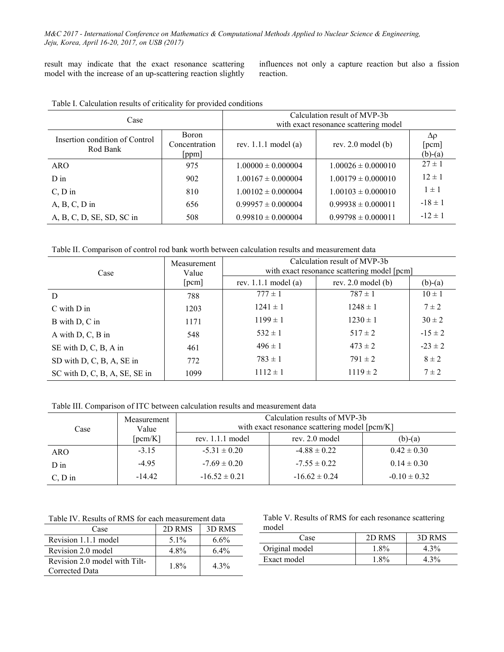result may indicate that the exact resonance scattering model with the increase of an up-scattering reaction slightly

influences not only a capture reaction but also a fission reaction.

| Case                                       |                                 | Calculation result of MVP-3b<br>with exact resonance scattering model |                              |                                     |  |  |  |
|--------------------------------------------|---------------------------------|-----------------------------------------------------------------------|------------------------------|-------------------------------------|--|--|--|
| Insertion condition of Control<br>Rod Bank | Boron<br>Concentration<br>[ppm] | rev. $1.1.1 \text{ model (a)}$                                        | rev. $2.0 \text{ model}$ (b) | $\Delta \rho$<br>[pcm]<br>$(b)-(a)$ |  |  |  |
| <b>ARO</b>                                 | 975                             | $1.00000 \pm 0.000004$                                                | $1.00026 \pm 0.000010$       | $27 \pm 1$                          |  |  |  |
| $D$ in                                     | 902                             | $1.00167 \pm 0.000004$                                                | $1.00179 \pm 0.000010$       | $12 \pm 1$                          |  |  |  |
| $C, D$ in                                  | 810                             | $1.00102 \pm 0.000004$                                                | $1.00103 \pm 0.000010$       | $1 \pm 1$                           |  |  |  |
| $A, B, C, D$ in                            | 656                             | $0.99957 \pm 0.000004$                                                | $0.99938 \pm 0.000011$       | $-18 \pm 1$                         |  |  |  |
| A, B, C, D, SE, SD, SC in                  | 508                             | $0.99810 \pm 0.000004$                                                | $0.99798 \pm 0.000011$       | $-12 \pm 1$                         |  |  |  |

Table I. Calculation results of criticality for provided conditions

Table II. Comparison of control rod bank worth between calculation results and measurement data

| Case                          | Measurement<br>Value | Calculation result of MVP-3b<br>with exact resonance scattering model [pcm] |                              |             |  |  |  |
|-------------------------------|----------------------|-----------------------------------------------------------------------------|------------------------------|-------------|--|--|--|
|                               | [perm]               | rev. $1.1.1$ model (a)                                                      | rev. $2.0 \text{ model}$ (b) | $(b)-(a)$   |  |  |  |
| D                             | 788                  | $777 \pm 1$                                                                 | $787 \pm 1$                  | $10 \pm 1$  |  |  |  |
| $C$ with $D$ in               | 1203                 | $1241 \pm 1$                                                                | $1248 \pm 1$                 | $7 \pm 2$   |  |  |  |
| B with D, C in                | 1171                 | $1199 \pm 1$                                                                | $1230 \pm 1$                 | $30 \pm 2$  |  |  |  |
| A with $D, C, B$ in           | 548                  | $532 \pm 1$                                                                 | $517 \pm 2$                  | $-15 \pm 2$ |  |  |  |
| SE with D, C, B, A in         | 461                  | $496 \pm 1$                                                                 | $473 \pm 2$                  | $-23 \pm 2$ |  |  |  |
| SD with D, C, B, A, SE in     | 772                  | $783 \pm 1$                                                                 | $791 \pm 2$                  | $8 \pm 2$   |  |  |  |
| SC with D, C, B, A, SE, SE in | 1099                 | $1112 \pm 1$                                                                | $1119 \pm 2$                 | $7 \pm 2$   |  |  |  |

Table III. Comparison of ITC between calculation results and measurement data

| Case      | Measurement<br>Value | Calculation results of MVP-3b<br>with exact resonance scattering model [pcm/K] |                   |                  |  |  |
|-----------|----------------------|--------------------------------------------------------------------------------|-------------------|------------------|--|--|
|           | [perm/K]             | rev. $1.1.1$ model                                                             | rev. 2.0 model    | $(b)-(a)$        |  |  |
| ARO       | $-3.15$              | $-5.31 \pm 0.20$                                                               | $-4.88 \pm 0.22$  | $0.42 \pm 0.30$  |  |  |
| $D$ in    | $-4.95$              | $-7.69 \pm 0.20$                                                               | $-7.55 \pm 0.22$  | $0.14 \pm 0.30$  |  |  |
| $C, D$ in | $-14.42$             | $-16.52 \pm 0.21$                                                              | $-16.62 \pm 0.24$ | $-0.10 \pm 0.32$ |  |  |

Table IV. Results of RMS for each measurement data

| Case                                            | 2D RMS | 3D RMS  |
|-------------------------------------------------|--------|---------|
| Revision 1.1.1 model                            | $51\%$ | $6.6\%$ |
| Revision 2.0 model                              | 4 8%   | $6.4\%$ |
| Revision 2.0 model with Tilt-<br>Corrected Data | 18%    | $4.3\%$ |

Table V. Results of RMS for each resonance scattering model

| Case           | 2D RMS | 3D RMS  |
|----------------|--------|---------|
| Original model | 1.8%   | 4.3%    |
| Exact model    | 1.8%   | $4.3\%$ |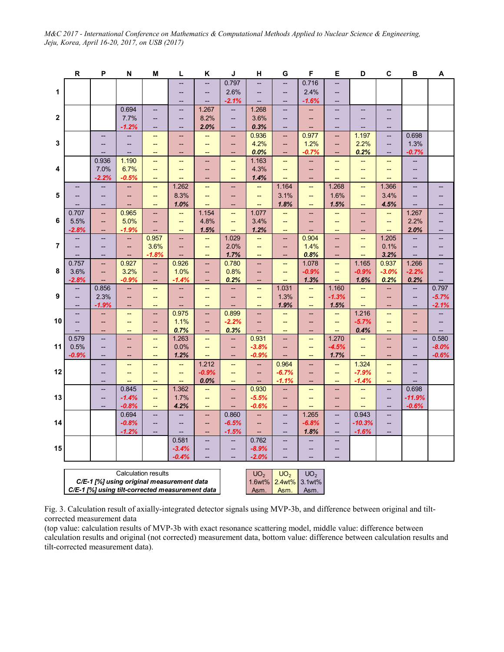|                         | ${\sf R}$                                 | P                        | N                        | M                               | L                        | Κ                                                    | J                        | н                              | G                                             | F                                                   | Е                        | D                                  | C                        | в                                  | А                                             |
|-------------------------|-------------------------------------------|--------------------------|--------------------------|---------------------------------|--------------------------|------------------------------------------------------|--------------------------|--------------------------------|-----------------------------------------------|-----------------------------------------------------|--------------------------|------------------------------------|--------------------------|------------------------------------|-----------------------------------------------|
|                         |                                           |                          |                          |                                 |                          |                                                      | 0.797                    |                                | $\overline{\phantom{a}}$                      | 0.716                                               | --                       |                                    |                          |                                    |                                               |
| 1                       |                                           |                          |                          |                                 | --                       | $\overline{\phantom{m}}$                             | 2.6%                     | --                             | --                                            | 2.4%                                                | --                       |                                    |                          |                                    |                                               |
|                         |                                           |                          |                          |                                 | --                       |                                                      | $-2.1%$                  |                                | --                                            | $-1.6%$                                             | --                       |                                    |                          |                                    |                                               |
|                         |                                           |                          | 0.694                    | --                              | $\overline{\phantom{a}}$ | 1.267                                                | $\overline{\phantom{a}}$ | 1.268                          | --                                            | --                                                  | --                       |                                    | --                       |                                    |                                               |
| $\mathbf{2}$            |                                           |                          | 7.7%                     | $\overline{\phantom{a}}$        | $\qquad \qquad -$        | 8.2%                                                 | --                       | 3.6%                           | $\overline{\phantom{a}}$                      | --                                                  | --                       | --                                 | --                       |                                    |                                               |
|                         |                                           |                          | $-1.2%$                  | $\overline{\phantom{a}}$        | $\overline{\phantom{m}}$ | 2.0%                                                 | --                       | 0.3%                           | $\hspace{0.05cm} -\hspace{0.05cm}$            | --                                                  | --                       | $\overline{\phantom{a}}$           | $\overline{\phantom{a}}$ |                                    |                                               |
|                         |                                           | --                       |                          | $\overline{\phantom{0}}$        | --                       | --                                                   | --                       | 0.936                          | --                                            | 0.977                                               | --                       | 1.197                              | --                       | 0.698                              |                                               |
| 3                       |                                           | --                       |                          | $\overline{\phantom{0}}$        | --                       | $\overline{\phantom{a}}$                             | --                       | 4.2%                           | --                                            | 1.2%                                                | --                       | 2.2%                               | --                       | 1.3%                               |                                               |
|                         |                                           |                          | -−                       | --                              | --                       | $\overline{\phantom{a}}$                             | --                       | 0.0%                           | --                                            | $-0.7%$                                             | --                       | 0.2%                               | --                       | $-0.7%$                            |                                               |
|                         |                                           | 0.936                    | 1.190                    | <u></u>                         | $\overline{\phantom{a}}$ | <b></b>                                              | $\overline{\phantom{a}}$ | 1.163                          | --                                            | --                                                  | --                       |                                    | $\overline{\phantom{a}}$ | --                                 |                                               |
| 4                       |                                           | 7.0%                     | 6.7%                     | --                              | --                       | $\overline{\phantom{a}}$                             | --                       | 4.3%                           | --                                            | --                                                  | --                       | --                                 | --                       | --                                 |                                               |
|                         |                                           | $-2.2%$                  | $-0.5%$                  | --                              | $\overline{\phantom{a}}$ | $\overline{a}$                                       | $\overline{a}$           | 1.4%                           | --                                            | --                                                  | <u></u>                  | $\overline{\phantom{0}}$           |                          | --                                 |                                               |
|                         |                                           |                          | --                       | $\qquad \qquad -$               | 1.262                    | $\overline{\phantom{a}}$                             | $\overline{\phantom{a}}$ | --                             | 1.164                                         | $\overline{\phantom{a}}$                            | 1.268                    | $\overline{\phantom{a}}$           | 1.366                    | --                                 |                                               |
| 5                       |                                           |                          |                          | --                              | 8.3%                     | $\overline{\phantom{a}}$                             | --                       | --                             | 3.1%                                          | --                                                  | 1.6%                     | $\overline{\phantom{a}}$           | 3.4%                     | --                                 |                                               |
|                         |                                           | --                       |                          | --                              | 1.0%                     | <u></u>                                              | $\overline{\phantom{a}}$ | $\overline{\phantom{a}}$       | 1.8%                                          | $\overline{\phantom{a}}$                            | 1.5%                     | $\overline{\phantom{a}}$           | 4.5%                     |                                    |                                               |
|                         | 0.707                                     | --                       | 0.965                    | $\overline{\phantom{a}}$        | --                       | 1.154                                                | $\overline{\phantom{a}}$ | 1.077                          | $\qquad \qquad -$                             | --                                                  | --                       | $\overline{\phantom{a}}$           | $-$                      | 1.267                              | $\overline{\phantom{a}}$                      |
| 6                       | 5.5%                                      | --                       | 5.0%                     | $\overline{\phantom{a}}$        | $\overline{\phantom{m}}$ | 4.8%                                                 | --                       | 3.4%                           | $\overline{\phantom{m}}$                      | --                                                  | $\overline{\phantom{a}}$ | $\overline{\phantom{a}}$           | --                       | 2.2%                               | $\qquad \qquad -$                             |
|                         | $-2.8%$                                   | --                       | -1.9%                    | $\overline{\phantom{a}}$        | $\overline{\phantom{a}}$ | 1.5%                                                 | $\overline{\phantom{a}}$ | 1.2%                           | $\overline{\phantom{a}}$                      | --                                                  | $\overline{\phantom{a}}$ | $\overline{\phantom{a}}$           | $\overline{\phantom{a}}$ | 2.0%                               | $\qquad \qquad -$                             |
|                         |                                           | $-$                      | --                       | 0.957                           | --                       | $\overline{\phantom{a}}$                             | 1.029                    | --                             | $\overline{\phantom{a}}$                      | 0.904                                               | --                       | $\overline{\phantom{a}}$           | 1.205                    | --                                 | $-$                                           |
| $\overline{\mathbf{r}}$ |                                           | --                       | --                       | 3.6%                            | $\overline{\phantom{a}}$ | $\overline{\phantom{a}}$                             | 2.0%                     | --                             | --                                            | 1.4%                                                | --                       | $\overline{\phantom{a}}$           | 0.1%                     | --                                 |                                               |
|                         |                                           | --                       | --                       | $-1.8%$                         | --                       | $\overline{\phantom{a}}$                             | 1.7%                     | --                             | --                                            | 0.8%                                                | --                       | $\overline{\phantom{a}}$           | 3.2%                     | --                                 | $\overline{\phantom{a}}$                      |
| 8                       | 0.757<br>3.6%                             | --                       | 0.927<br>3.2%            | --                              | 0.926<br>1.0%            | $\hspace{0.05cm}$ $\hspace{0.05cm}$                  | 0.780<br>0.8%            | --                             | --                                            | 1.078<br>$-0.9%$                                    | --                       | 1.165<br>$-0.9%$                   | 0.937<br>$-3.0%$         | 1.266<br>$-2.2%$                   | $-$                                           |
|                         | $-2.8%$                                   | --                       | $-0.9%$                  | $\overline{\phantom{a}}$        | $-1.4%$                  | $\overline{\phantom{a}}$                             | 0.2%                     | --                             | $\qquad \qquad -$<br>$\overline{\phantom{a}}$ | 1.3%                                                | $\overline{\phantom{a}}$ | 1.6%                               | 0.2%                     | 0.2%                               | $\qquad \qquad -$<br>$\overline{\phantom{a}}$ |
|                         | --                                        | --<br>0.856              | --                       | $-$<br>$\overline{\phantom{0}}$ | --                       | $\overline{\phantom{m}}$<br>$\overline{\phantom{m}}$ | --                       | $\overline{\phantom{a}}$<br>-- | 1.031                                         | $\overline{\phantom{a}}$                            | --<br>1.160              | $\overline{\phantom{a}}$           | --                       | $\overline{\phantom{a}}$           | 0.797                                         |
| 9                       | --                                        | 2.3%                     | $\overline{\phantom{m}}$ | $\overline{\phantom{a}}$        | --                       | $\overline{\phantom{a}}$                             | --                       | --                             | 1.3%                                          | --                                                  | $-1.3%$                  | $\overline{\phantom{a}}$           | $\overline{\phantom{a}}$ | --                                 | $-5.7%$                                       |
|                         | $\overline{\phantom{a}}$                  | $-1.9%$                  | $\overline{\phantom{a}}$ | $\overline{\phantom{a}}$        | --                       | $\overline{\phantom{a}}$                             | --                       | $\overline{\phantom{a}}$       | 1.9%                                          | $\overline{\phantom{0}}$                            | 1.5%                     | $\overline{\phantom{a}}$           | $\overline{\phantom{a}}$ | $\overline{\phantom{a}}$           | $-2.1%$                                       |
|                         |                                           | --                       | $\qquad \qquad -$        | $\overline{\phantom{a}}$        | 0.975                    | $\overline{\phantom{a}}$                             | 0.899                    | н.                             | $\qquad \qquad -$                             | --                                                  | --                       | 1.216                              | $\overline{\phantom{a}}$ | --                                 | $\overline{\phantom{a}}$                      |
| 10                      |                                           | --                       | $\overline{\phantom{a}}$ | $\qquad \qquad -$               | 1.1%                     | $\overline{\phantom{a}}$                             | $-2.2%$                  | --                             | --                                            | $\overline{\phantom{a}}$                            | $\overline{\phantom{a}}$ | $-5.7%$                            | --                       | --                                 |                                               |
|                         |                                           | --                       | $\overline{\phantom{a}}$ | --                              | 0.7%                     | $\overline{\phantom{m}}$                             | 0.3%                     | --                             | $\overline{\phantom{a}}$                      | --                                                  | --                       | 0.4%                               | $\overline{\phantom{0}}$ | --                                 |                                               |
|                         | 0.579                                     | --                       | $\qquad \qquad -$        | $\overline{\phantom{a}}$        | 1.263                    | $\overline{\phantom{a}}$                             | --                       | 0.931                          | --                                            | $\overline{\phantom{a}}$                            | 1.270                    | $\overline{\phantom{a}}$           | --                       | --                                 | 0.580                                         |
| 11                      | 0.5%                                      | --                       | --                       | $\overline{\phantom{a}}$        | 0.0%                     | $\overline{\phantom{a}}$                             | --                       | $-3.8%$                        | --                                            | --                                                  | $-4.5%$                  | $\overline{\phantom{a}}$           | --                       | --                                 | $-8.0%$                                       |
|                         | $-0.9%$                                   | --                       | $\overline{\phantom{m}}$ | $\overline{\phantom{a}}$        | 1.2%                     | $\overline{\phantom{a}}$                             | $\overline{\phantom{a}}$ | $-0.9%$                        | $\overline{\phantom{m}}$                      | $\hspace{0.05cm} -\hspace{0.05cm} -\hspace{0.05cm}$ | 1.7%                     | $\hspace{0.05cm} -\hspace{0.05cm}$ | $\overline{\phantom{m}}$ | $\hspace{0.05cm} -\hspace{0.05cm}$ | $-0.6%$                                       |
|                         |                                           | --                       | --                       | $\qquad \qquad -$               | $-$                      | 1.212                                                | $\qquad \qquad -$        | --                             | 0.964                                         | --                                                  | --                       | 1.324                              | --                       | --                                 |                                               |
| 12                      |                                           | --                       | $\overline{\phantom{m}}$ | $\qquad \qquad -$               | $\overline{\phantom{a}}$ | $-0.9%$                                              | --                       | --                             | $-6.7%$                                       | --                                                  | --                       | $-7.9%$                            | --                       | --                                 |                                               |
|                         |                                           | $\overline{\phantom{0}}$ | $\overline{\phantom{a}}$ | $\qquad \qquad -$               | $\overline{\phantom{a}}$ | 0.0%                                                 | $\qquad \qquad -$        | --                             | $-1.1%$                                       | --                                                  | $-$                      | $-1.4%$                            | $\qquad \qquad -$        | $\overline{a}$                     |                                               |
|                         |                                           | Ш,                       | 0.845                    | μL,                             | 1.362                    | Щ,                                                   | <u></u>                  | 0.930                          | Ш,                                            | $\overline{\phantom{a}}$                            | --                       | $\overline{\phantom{0}}$           | $\overline{\phantom{a}}$ | 0.698                              |                                               |
| 13                      |                                           | --                       | $-1.4%$                  | --                              | 1.7%                     | $\overline{\phantom{a}}$                             | --                       | $-5.5%$                        | --                                            | --                                                  | --                       | $\overline{\phantom{a}}$           | --                       | $-11.9%$                           |                                               |
|                         |                                           |                          | $-0.8%$                  | $\overline{\phantom{a}}$        | 4.2%                     | $\overline{\phantom{m}}$                             | $\overline{\phantom{a}}$ | $-0.6%$                        | --                                            | --                                                  | --                       | --                                 | --                       | $-0.6%$                            |                                               |
|                         |                                           |                          | 0.694                    | --                              |                          | $\overline{\phantom{a}}$                             | 0.860                    | --                             | --                                            | 1.265                                               | --                       | 0.943                              | --                       |                                    |                                               |
| 14                      |                                           |                          | $-0.8%$                  | $\qquad \qquad -$               | --                       | $\overline{\phantom{a}}$                             | $-6.5%$                  | $\overline{\phantom{a}}$       | $\qquad \qquad -$                             | $-6.8%$                                             | $\overline{\phantom{a}}$ | $-10.3%$                           | --                       |                                    |                                               |
|                         |                                           |                          | $-1.2%$                  |                                 | --                       | $\overline{\phantom{a}}$                             | $-1.5%$                  | --                             | --                                            | 1.8%                                                | <u></u>                  | $-1.6%$                            |                          |                                    |                                               |
|                         |                                           |                          |                          |                                 | 0.581                    | $\overline{\phantom{a}}$                             | --                       | 0.762                          | $\overline{\phantom{a}}$                      | --                                                  | $\overline{\phantom{a}}$ |                                    |                          |                                    |                                               |
| 15                      |                                           |                          |                          |                                 | $-3.4%$                  | $\qquad \qquad -$                                    | --                       | $-8.9%$                        | --                                            | --                                                  | --                       |                                    |                          |                                    |                                               |
|                         |                                           |                          |                          |                                 | $-0.4%$                  |                                                      |                          | $-2.0%$                        |                                               | --                                                  |                          |                                    |                          |                                    |                                               |
|                         |                                           |                          |                          |                                 |                          |                                                      |                          |                                |                                               |                                                     |                          |                                    |                          |                                    |                                               |
|                         |                                           |                          | Calculation results      |                                 |                          |                                                      |                          | UO <sub>2</sub>                | UO <sub>2</sub><br>1.6wt% 2.4wt% 3.1wt%       | UO <sub>2</sub>                                     |                          |                                    |                          |                                    |                                               |
|                         | C/E-1 [%] using original measurement data |                          |                          |                                 |                          |                                                      |                          |                                |                                               |                                                     |                          |                                    |                          |                                    |                                               |

*C/E-1 [%] using tilt-corrected measurement data*

| UU <sub>2</sub> | UU <sub>2</sub>    | $UU_2$               |  |
|-----------------|--------------------|----------------------|--|
|                 |                    | 1.6wt% 2.4wt% 3.1wt% |  |
|                 | Asm.   Asm.   Asm. |                      |  |
|                 |                    |                      |  |

Fig. 3. Calculation result of axially-integrated detector signals using MVP-3b, and difference between original and tiltcorrected measurement data

(top value: calculation results of MVP-3b with exact resonance scattering model, middle value: difference between calculation results and original (not corrected) measurement data, bottom value: difference between calculation results and tilt-corrected measurement data).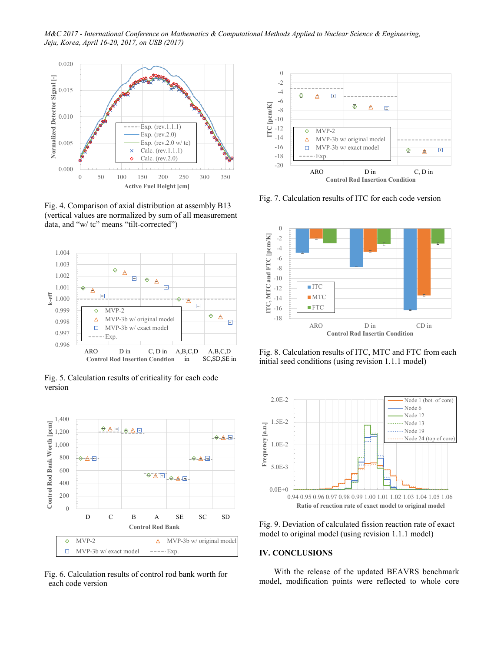*M&C 2017 - International Conference on Mathematics & Computational Methods Applied to Nuclear Science & Engineering, Jeju, Korea, April 16-20, 2017, on USB (2017)*



Fig. 4. Comparison of axial distribution at assembly B13 (vertical values are normalized by sum of all measurement data, and "w/ tc" means "tilt-corrected")



Fig. 5. Calculation results of criticality for each code version



Fig. 6. Calculation results of control rod bank worth for each code version



Fig. 7. Calculation results of ITC for each code version



Fig. 8. Calculation results of ITC, MTC and FTC from each initial seed conditions (using revision 1.1.1 model)



Fig. 9. Deviation of calculated fission reaction rate of exact model to original model (using revision 1.1.1 model)

# **IV. CONCLUSIONS**

With the release of the updated BEAVRS benchmark model, modification points were reflected to whole core